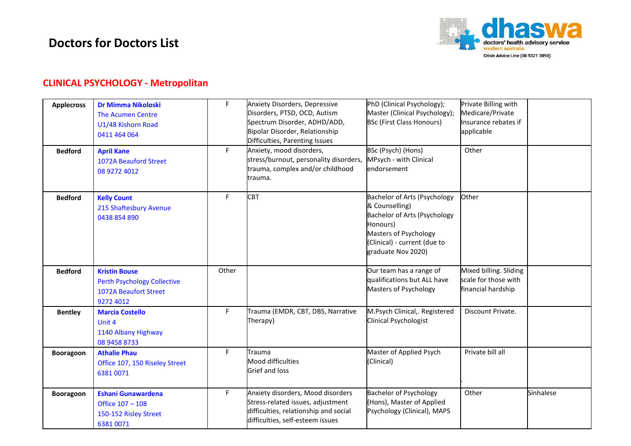

#### **CLINICAL PSYCHOLOGY - Metropolitan**

| <b>Applecross</b> | <b>Dr Mimma Nikoloski</b><br><b>The Acumen Centre</b><br>U1/48 Kishorn Road<br>0411 464 064      | F.    | Anxiety Disorders, Depressive<br>Disorders, PTSD, OCD, Autism<br>Spectrum Disorder, ADHD/ADD,<br>Bipolar Disorder, Relationship<br>Difficulties, Parenting Issues | PhD (Clinical Psychology);<br>Master (Clinical Psychology);<br><b>BSc (First Class Honours)</b>                                                                           | Private Billing with<br>Medicare/Private<br>Insurance rebates if<br>applicable |           |
|-------------------|--------------------------------------------------------------------------------------------------|-------|-------------------------------------------------------------------------------------------------------------------------------------------------------------------|---------------------------------------------------------------------------------------------------------------------------------------------------------------------------|--------------------------------------------------------------------------------|-----------|
| <b>Bedford</b>    | <b>April Kane</b><br>1072A Beauford Street<br>08 9272 4012                                       | F.    | Anxiety, mood disorders,<br>stress/burnout, personality disorders,<br>trauma, complex and/or childhood<br>trauma.                                                 | BSc (Psych) (Hons)<br>MPsych - with Clinical<br>endorsement                                                                                                               | Other                                                                          |           |
| <b>Bedford</b>    | <b>Kelly Count</b><br>215 Shaftesbury Avenue<br>0438 854 890                                     | F.    | <b>CBT</b>                                                                                                                                                        | Bachelor of Arts (Psychology<br>& Counselling)<br>Bachelor of Arts (Psychology<br>Honours)<br>Masters of Psychology<br>(Clinical) - current (due to<br>graduate Nov 2020) | Other                                                                          |           |
| <b>Bedford</b>    | <b>Kristin Bouse</b><br><b>Perth Psychology Collective</b><br>1072A Beaufort Street<br>9272 4012 | Other |                                                                                                                                                                   | Our team has a range of<br>qualifications but ALL have<br>Masters of Psychology                                                                                           | Mixed billing. Sliding<br>scale for those with<br>financial hardship           |           |
| <b>Bentley</b>    | <b>Marcia Costello</b><br>Unit 4<br>1140 Albany Highway<br>08 9458 8733                          | F.    | Trauma (EMDR, CBT, DBS, Narrative<br>Therapy)                                                                                                                     | M.Psych Clinical,. Registered<br>Clinical Psychologist                                                                                                                    | Discount Private.                                                              |           |
| Booragoon         | <b>Athalie Phau</b><br>Office 107, 150 Riseley Street<br>6381 0071                               | F.    | Trauma<br>Mood difficulties<br>Grief and loss                                                                                                                     | Master of Applied Psych<br>(Clinical)                                                                                                                                     | Private bill all                                                               |           |
| <b>Booragoon</b>  | <b>Eshani Gunawardena</b><br>Office 107 - 108<br>150-152 Risley Street<br>6381 0071              | F.    | Anxiety disorders, Mood disorders<br>Stress-related issues, adjustment<br>difficulties, relationship and social<br>difficulties, self-esteem issues               | <b>Bachelor of Psychology</b><br>(Hons), Master of Applied<br>Psychology (Clinical), MAPS                                                                                 | Other                                                                          | Sinhalese |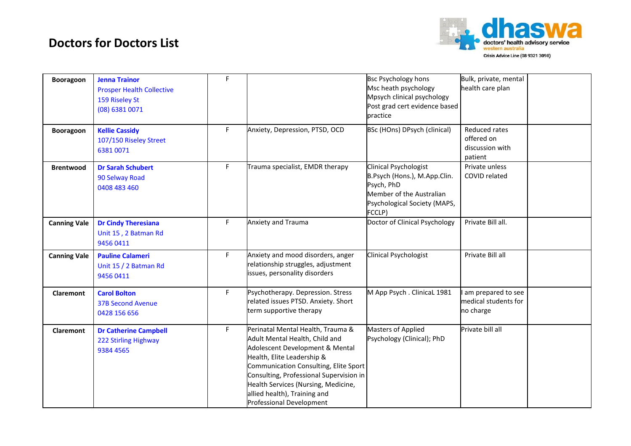

| <b>Booragoon</b>    | <b>Jenna Trainor</b><br><b>Prosper Health Collective</b><br>159 Riseley St<br>(08) 6381 0071 | F  |                                                                                                                                                                                                                                                                                                                             | <b>Bsc Psychology hons</b><br>Msc heath psychology<br>Mpsych clinical psychology<br>Post grad cert evidence based<br>practice                    | Bulk, private, mental<br>health care plan                 |  |
|---------------------|----------------------------------------------------------------------------------------------|----|-----------------------------------------------------------------------------------------------------------------------------------------------------------------------------------------------------------------------------------------------------------------------------------------------------------------------------|--------------------------------------------------------------------------------------------------------------------------------------------------|-----------------------------------------------------------|--|
| <b>Booragoon</b>    | <b>Kellie Cassidy</b><br>107/150 Riseley Street<br>6381 0071                                 | F. | Anxiety, Depression, PTSD, OCD                                                                                                                                                                                                                                                                                              | BSc (HOns) DPsych (clinical)                                                                                                                     | Reduced rates<br>offered on<br>discussion with<br>patient |  |
| <b>Brentwood</b>    | <b>Dr Sarah Schubert</b><br>90 Selway Road<br>0408 483 460                                   | F. | Trauma specialist, EMDR therapy                                                                                                                                                                                                                                                                                             | <b>Clinical Psychologist</b><br>B.Psych (Hons.), M.App.Clin.<br>Psych, PhD<br>Member of the Australian<br>Psychological Society (MAPS,<br>FCCLP) | Private unless<br>COVID related                           |  |
| <b>Canning Vale</b> | <b>Dr Cindy Theresiana</b><br>Unit 15, 2 Batman Rd<br>9456 0411                              | F. | Anxiety and Trauma                                                                                                                                                                                                                                                                                                          | Doctor of Clinical Psychology                                                                                                                    | Private Bill all.                                         |  |
| <b>Canning Vale</b> | <b>Pauline Calameri</b><br>Unit 15 / 2 Batman Rd<br>9456 0411                                | F  | Anxiety and mood disorders, anger<br>relationship struggles, adjustment<br>issues, personality disorders                                                                                                                                                                                                                    | Clinical Psychologist                                                                                                                            | Private Bill all                                          |  |
| Claremont           | <b>Carol Bolton</b><br><b>37B Second Avenue</b><br>0428 156 656                              | F. | Psychotherapy. Depression. Stress<br>related issues PTSD. Anxiety. Short<br>term supportive therapy                                                                                                                                                                                                                         | M App Psych . ClinicaL 1981                                                                                                                      | am prepared to see<br>medical students for<br>no charge   |  |
| Claremont           | <b>Dr Catherine Campbell</b><br>222 Stirling Highway<br>9384 4565                            | F. | Perinatal Mental Health, Trauma &<br>Adult Mental Health, Child and<br>Adolescent Development & Mental<br>Health, Elite Leadership &<br>Communication Consulting, Elite Sport<br>Consulting, Professional Supervision in<br>Health Services (Nursing, Medicine,<br>allied health), Training and<br>Professional Development | Masters of Applied<br>Psychology (Clinical); PhD                                                                                                 | Private bill all                                          |  |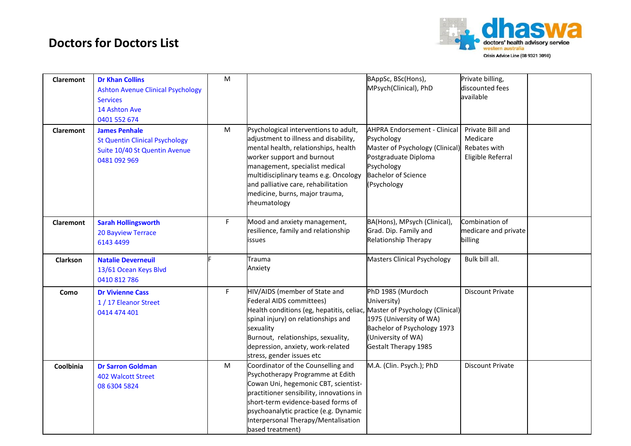

| Claremont | <b>Dr Khan Collins</b><br><b>Ashton Avenue Clinical Psychology</b><br><b>Services</b><br>14 Ashton Ave<br>0401 552 674 | M |                                                                                                                                                                                                                                                                                                                          | BAppSc, BSc(Hons),<br>MPsych(Clinical), PhD                                                                                                                                        | Private billing,<br>discounted fees<br>available                  |
|-----------|------------------------------------------------------------------------------------------------------------------------|---|--------------------------------------------------------------------------------------------------------------------------------------------------------------------------------------------------------------------------------------------------------------------------------------------------------------------------|------------------------------------------------------------------------------------------------------------------------------------------------------------------------------------|-------------------------------------------------------------------|
| Claremont | <b>James Penhale</b><br><b>St Quentin Clinical Psychology</b><br>Suite 10/40 St Quentin Avenue<br>0481 092 969         | M | Psychological interventions to adult,<br>adjustment to illness and disability,<br>mental health, relationships, health<br>worker support and burnout<br>management, specialist medical<br>multidisciplinary teams e.g. Oncology<br>and palliative care, rehabilitation<br>medicine, burns, major trauma,<br>rheumatology | <b>AHPRA Endorsement - Clinical</b><br>Psychology<br>Master of Psychology (Clinical)<br>Postgraduate Diploma<br>Psychology<br><b>Bachelor of Science</b><br>(Psychology            | Private Bill and<br>Medicare<br>Rebates with<br>Eligible Referral |
| Claremont | <b>Sarah Hollingsworth</b><br><b>20 Bayview Terrace</b><br>6143 4499                                                   | F | Mood and anxiety management,<br>resilience, family and relationship<br>issues                                                                                                                                                                                                                                            | BA(Hons), MPsych (Clinical),<br>Grad. Dip. Family and<br><b>Relationship Therapy</b>                                                                                               | Combination of<br>medicare and private<br>billing                 |
| Clarkson  | <b>Natalie Deverneuil</b><br>13/61 Ocean Keys Blvd<br>0410 812 786                                                     |   | Trauma<br>Anxiety                                                                                                                                                                                                                                                                                                        | Masters Clinical Psychology                                                                                                                                                        | Bulk bill all.                                                    |
| Como      | <b>Dr Vivienne Cass</b><br>1 / 17 Eleanor Street<br>0414 474 401                                                       | F | HIV/AIDS (member of State and<br>Federal AIDS committees)<br>Health conditions (eg, hepatitis, celiac,<br>spinal injury) on relationships and<br>sexuality<br>Burnout, relationships, sexuality,<br>depression, anxiety, work-related<br>stress, gender issues etc                                                       | PhD 1985 (Murdoch<br>University)<br>Master of Psychology (Clinical)<br>1975 (University of WA)<br>Bachelor of Psychology 1973<br>(University of WA)<br><b>Gestalt Therapy 1985</b> | <b>Discount Private</b>                                           |
| Coolbinia | <b>Dr Sarron Goldman</b><br><b>402 Walcott Street</b><br>08 6304 5824                                                  | M | Coordinator of the Counselling and<br>Psychotherapy Programme at Edith<br>Cowan Uni, hegemonic CBT, scientist-<br>practitioner sensibility, innovations in<br>short-term evidence-based forms of<br>psychoanalytic practice (e.g. Dynamic<br>Interpersonal Therapy/Mentalisation<br>based treatment)                     | M.A. (Clin. Psych.); PhD                                                                                                                                                           | <b>Discount Private</b>                                           |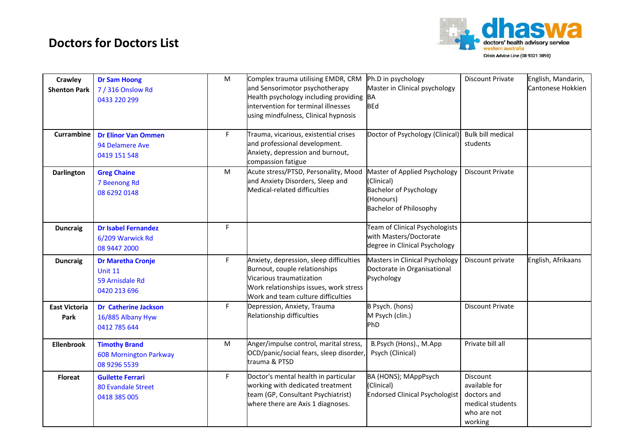

| Crawley<br><b>Shenton Park</b> | <b>Dr Sam Hoong</b><br>7 / 316 Onslow Rd<br>0433 220 299                      | M  | Complex trauma utilising EMDR, CRM<br>and Sensorimotor psychotherapy<br>Health psychology including providing<br>intervention for terminal illnesses<br>using mindfulness, Clinical hypnosis | Ph.D in psychology<br>Master in Clinical psychology<br>BA<br><b>BEd</b>                                                   | <b>Discount Private</b>                                                                | English, Mandarin,<br>Cantonese Hokkien |
|--------------------------------|-------------------------------------------------------------------------------|----|----------------------------------------------------------------------------------------------------------------------------------------------------------------------------------------------|---------------------------------------------------------------------------------------------------------------------------|----------------------------------------------------------------------------------------|-----------------------------------------|
| <b>Currambine</b>              | <b>Dr Elinor Van Ommen</b><br>94 Delamere Ave<br>0419 151 548                 | F  | Trauma, vicarious, existential crises<br>and professional development.<br>Anxiety, depression and burnout,<br>compassion fatigue                                                             | Doctor of Psychology (Clinical)                                                                                           | <b>Bulk bill medical</b><br>students                                                   |                                         |
| <b>Darlington</b>              | <b>Greg Chaine</b><br>7 Beenong Rd<br>08 6292 0148                            | M  | Acute stress/PTSD, Personality, Mood<br>and Anxiety Disorders, Sleep and<br>Medical-related difficulties                                                                                     | Master of Applied Psychology<br>(Clinical)<br><b>Bachelor of Psychology</b><br>(Honours)<br><b>Bachelor of Philosophy</b> | <b>Discount Private</b>                                                                |                                         |
| <b>Duncraig</b>                | <b>Dr Isabel Fernandez</b><br>6/209 Warwick Rd<br>08 9447 2000                | F. |                                                                                                                                                                                              | Team of Clinical Psychologists<br>with Masters/Doctorate<br>degree in Clinical Psychology                                 |                                                                                        |                                         |
| <b>Duncraig</b>                | <b>Dr Maretha Cronje</b><br><b>Unit 11</b><br>59 Arnisdale Rd<br>0420 213 696 | F. | Anxiety, depression, sleep difficulties<br>Burnout, couple relationships<br>Vicarious traumatization<br>Work relationships issues, work stress<br>Work and team culture difficulties         | Masters in Clinical Psychology<br>Doctorate in Organisational<br>Psychology                                               | Discount private                                                                       | English, Afrikaans                      |
| <b>East Victoria</b><br>Park   | <b>Dr Catherine Jackson</b><br>16/885 Albany Hyw<br>0412 785 644              | F. | Depression, Anxiety, Trauma<br>Relationship difficulties                                                                                                                                     | B Psych. (hons)<br>M Psych (clin.)<br>PhD                                                                                 | <b>Discount Private</b>                                                                |                                         |
| <b>Ellenbrook</b>              | <b>Timothy Brand</b><br><b>60B Mornington Parkway</b><br>08 9296 5539         | M  | Anger/impulse control, marital stress,<br>OCD/panic/social fears, sleep disorder,<br>trauma & PTSD                                                                                           | B.Psych (Hons)., M.App<br>Psych (Clinical)                                                                                | Private bill all                                                                       |                                         |
| <b>Floreat</b>                 | <b>Guilette Ferrari</b><br>80 Evandale Street<br>0418 385 005                 | F  | Doctor's mental health in particular<br>working with dedicated treatment<br>team (GP, Consultant Psychiatrist)<br>where there are Axis 1 diagnoses.                                          | BA (HONS); MAppPsych<br>(Clinical)<br><b>Endorsed Clinical Psychologist</b>                                               | Discount<br>available for<br>doctors and<br>medical students<br>who are not<br>working |                                         |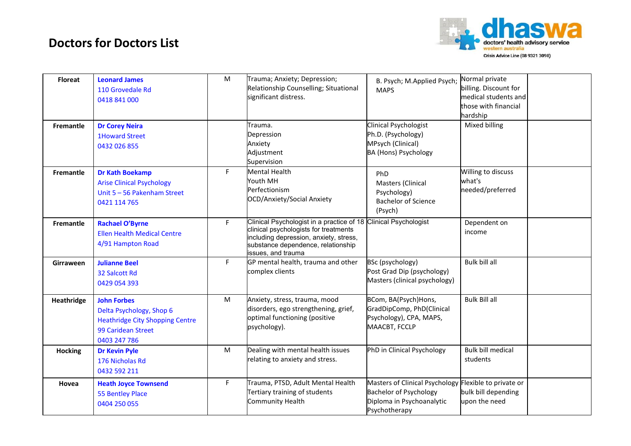

| <b>Floreat</b>   | <b>Leonard James</b><br>110 Grovedale Rd<br>0418 841 000                                                                       | M         | Trauma; Anxiety; Depression;<br>Relationship Counselling; Situational<br>significant distress.                                                                                                                 | B. Psych; M.Applied Psych;<br><b>MAPS</b>                                                                                            | Normal private<br>billing. Discount for<br>medical students and<br>those with financial<br>hardship |  |
|------------------|--------------------------------------------------------------------------------------------------------------------------------|-----------|----------------------------------------------------------------------------------------------------------------------------------------------------------------------------------------------------------------|--------------------------------------------------------------------------------------------------------------------------------------|-----------------------------------------------------------------------------------------------------|--|
| Fremantle        | <b>Dr Corey Neira</b><br><b>1Howard Street</b><br>0432 026 855                                                                 |           | Trauma.<br>Depression<br>Anxiety<br>Adjustment<br>Supervision                                                                                                                                                  | Clinical Psychologist<br>Ph.D. (Psychology)<br>MPsych (Clinical)<br>BA (Hons) Psychology                                             | Mixed billing                                                                                       |  |
| Fremantle        | <b>Dr Kath Boekamp</b><br><b>Arise Clinical Psychology</b><br>Unit 5 - 56 Pakenham Street<br>0421 114 765                      | F.        | <b>Mental Health</b><br>Youth MH<br>Perfectionism<br>OCD/Anxiety/Social Anxiety                                                                                                                                | PhD<br>Masters (Clinical<br>Psychology)<br><b>Bachelor of Science</b><br>(Psych)                                                     | Willing to discuss<br>what's<br>needed/preferred                                                    |  |
| <b>Fremantle</b> | <b>Rachael O'Byrne</b><br><b>Ellen Health Medical Centre</b><br>4/91 Hampton Road                                              | F.        | Clinical Psychologist in a practice of 18 Clinical Psychologist<br>clinical psychologists for treatments<br>including depression, anxiety, stress,<br>substance dependence, relationship<br>issues, and trauma |                                                                                                                                      | Dependent on<br>income                                                                              |  |
| Girraween        | <b>Julianne Beel</b><br>32 Salcott Rd<br>0429 054 393                                                                          | F.        | GP mental health, trauma and other<br>complex clients                                                                                                                                                          | BSc (psychology)<br>Post Grad Dip (psychology)<br>Masters (clinical psychology)                                                      | Bulk bill all                                                                                       |  |
| Heathridge       | <b>John Forbes</b><br>Delta Psychology, Shop 6<br><b>Heathridge City Shopping Centre</b><br>99 Caridean Street<br>0403 247 786 | M         | Anxiety, stress, trauma, mood<br>disorders, ego strengthening, grief,<br>optimal functioning (positive<br>psychology).                                                                                         | BCom, BA(Psych)Hons,<br>GradDipComp, PhD(Clinical<br>Psychology), CPA, MAPS,<br>MAACBT, FCCLP                                        | <b>Bulk Bill all</b>                                                                                |  |
| <b>Hocking</b>   | <b>Dr Kevin Pyle</b><br>176 Nicholas Rd<br>0432 592 211                                                                        | ${\sf M}$ | Dealing with mental health issues<br>relating to anxiety and stress.                                                                                                                                           | PhD in Clinical Psychology                                                                                                           | <b>Bulk bill medical</b><br>students                                                                |  |
| Hovea            | <b>Heath Joyce Townsend</b><br>55 Bentley Place<br>0404 250 055                                                                | F.        | Trauma, PTSD, Adult Mental Health<br>Tertiary training of students<br>Community Health                                                                                                                         | Masters of Clinical Psychology Flexible to private or<br><b>Bachelor of Psychology</b><br>Diploma in Psychoanalytic<br>Psychotherapy | bulk bill depending<br>upon the need                                                                |  |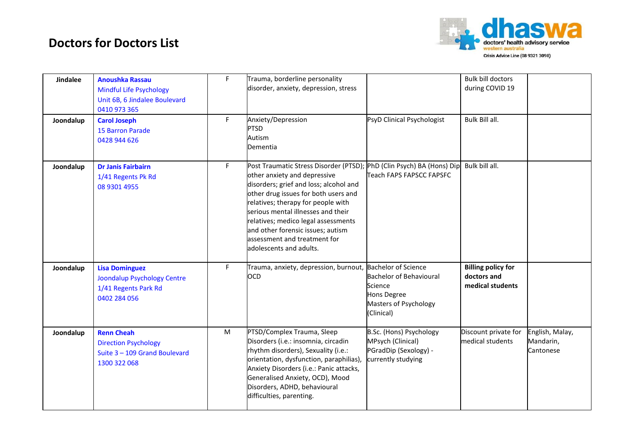

| <b>Jindalee</b> | <b>Anoushka Rassau</b><br><b>Mindful Life Psychology</b><br>Unit 6B, 6 Jindalee Boulevard<br>0410 973 365 | F. | Trauma, borderline personality<br>disorder, anxiety, depression, stress                                                                                                                                                                                                                                                                                                                                                   |                                                                                                                               | <b>Bulk bill doctors</b><br>during COVID 19                  |                                           |
|-----------------|-----------------------------------------------------------------------------------------------------------|----|---------------------------------------------------------------------------------------------------------------------------------------------------------------------------------------------------------------------------------------------------------------------------------------------------------------------------------------------------------------------------------------------------------------------------|-------------------------------------------------------------------------------------------------------------------------------|--------------------------------------------------------------|-------------------------------------------|
| Joondalup       | <b>Carol Joseph</b><br><b>15 Barron Parade</b><br>0428 944 626                                            | F. | Anxiety/Depression<br><b>PTSD</b><br>Autism<br>Dementia                                                                                                                                                                                                                                                                                                                                                                   | PsyD Clinical Psychologist                                                                                                    | Bulk Bill all.                                               |                                           |
| Joondalup       | <b>Dr Janis Fairbairn</b><br>1/41 Regents Pk Rd<br>08 9301 4955                                           | F. | Post Traumatic Stress Disorder (PTSD); PhD (Clin Psych) BA (Hons) Dip Bulk bill all.<br>other anxiety and depressive<br>disorders; grief and loss; alcohol and<br>other drug issues for both users and<br>relatives; therapy for people with<br>serious mental illnesses and their<br>relatives; medico legal assessments<br>and other forensic issues; autism<br>assessment and treatment for<br>adolescents and adults. | Teach FAPS FAPSCC FAPSFC                                                                                                      |                                                              |                                           |
| Joondalup       | <b>Lisa Dominguez</b><br><b>Joondalup Psychology Centre</b><br>1/41 Regents Park Rd<br>0402 284 056       | F  | Trauma, anxiety, depression, burnout,<br><b>OCD</b>                                                                                                                                                                                                                                                                                                                                                                       | <b>Bachelor of Science</b><br><b>Bachelor of Behavioural</b><br>Science<br>Hons Degree<br>Masters of Psychology<br>(Clinical) | <b>Billing policy for</b><br>doctors and<br>medical students |                                           |
| Joondalup       | <b>Renn Cheah</b><br><b>Direction Psychology</b><br>Suite 3 - 109 Grand Boulevard<br>1300 322 068         | M  | PTSD/Complex Trauma, Sleep<br>Disorders (i.e.: insomnia, circadin<br>rhythm disorders), Sexuality (i.e.:<br>orientation, dysfunction, paraphilias),<br>Anxiety Disorders (i.e.: Panic attacks,<br>Generalised Anxiety, OCD), Mood<br>Disorders, ADHD, behavioural<br>difficulties, parenting.                                                                                                                             | B.Sc. (Hons) Psychology<br>MPsych (Clinical)<br>PGradDip (Sexology) -<br>currently studying                                   | Discount private for<br>medical students                     | English, Malay,<br>Mandarin,<br>Cantonese |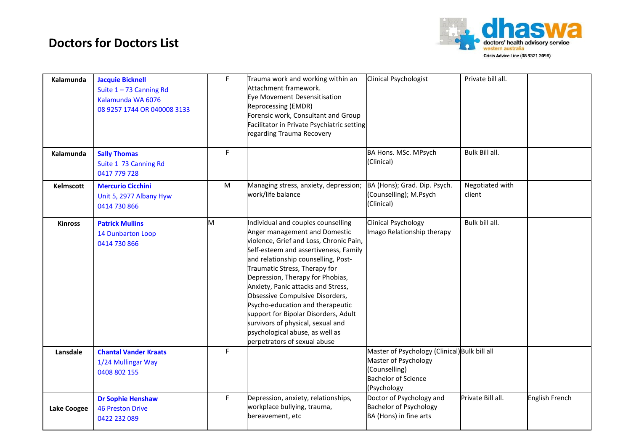

| Kalamunda          | <b>Jacquie Bicknell</b><br>Suite $1 - 73$ Canning Rd<br>Kalamunda WA 6076<br>08 9257 1744 OR 040008 3133 | F  | Trauma work and working within an<br>Attachment framework.<br>Eye Movement Desensitisation<br>Reprocessing (EMDR)<br>Forensic work, Consultant and Group<br>Facilitator in Private Psychiatric setting<br>regarding Trauma Recovery                                                                                                                                                                                                                                                                                              | Clinical Psychologist                                                                                                               | Private bill all.         |                |
|--------------------|----------------------------------------------------------------------------------------------------------|----|----------------------------------------------------------------------------------------------------------------------------------------------------------------------------------------------------------------------------------------------------------------------------------------------------------------------------------------------------------------------------------------------------------------------------------------------------------------------------------------------------------------------------------|-------------------------------------------------------------------------------------------------------------------------------------|---------------------------|----------------|
| Kalamunda          | <b>Sally Thomas</b><br>Suite 1 73 Canning Rd<br>0417 779 728                                             | F. |                                                                                                                                                                                                                                                                                                                                                                                                                                                                                                                                  | BA Hons. MSc. MPsych<br>(Clinical)                                                                                                  | Bulk Bill all.            |                |
| Kelmscott          | <b>Mercurio Cicchini</b><br>Unit 5, 2977 Albany Hyw<br>0414 730 866                                      | M  | Managing stress, anxiety, depression;<br>work/life balance                                                                                                                                                                                                                                                                                                                                                                                                                                                                       | BA (Hons); Grad. Dip. Psych.<br>(Counselling); M.Psych<br>(Clinical)                                                                | Negotiated with<br>client |                |
| <b>Kinross</b>     | <b>Patrick Mullins</b><br>14 Dunbarton Loop<br>0414 730 866                                              | M  | Individual and couples counselling<br>Anger management and Domestic<br>violence, Grief and Loss, Chronic Pain,<br>Self-esteem and assertiveness, Family<br>and relationship counselling, Post-<br>Traumatic Stress, Therapy for<br>Depression, Therapy for Phobias,<br>Anxiety, Panic attacks and Stress,<br>Obsessive Compulsive Disorders,<br>Psycho-education and therapeutic<br>support for Bipolar Disorders, Adult<br>survivors of physical, sexual and<br>psychological abuse, as well as<br>perpetrators of sexual abuse | <b>Clinical Psychology</b><br>Imago Relationship therapy                                                                            | Bulk bill all.            |                |
| Lansdale           | <b>Chantal Vander Kraats</b><br>1/24 Mullingar Way<br>0408 802 155                                       | F. |                                                                                                                                                                                                                                                                                                                                                                                                                                                                                                                                  | Master of Psychology (Clinical) Bulk bill all<br>Master of Psychology<br>(Counselling)<br><b>Bachelor of Science</b><br>(Psychology |                           |                |
| <b>Lake Coogee</b> | <b>Dr Sophie Henshaw</b><br><b>46 Preston Drive</b><br>0422 232 089                                      | F  | Depression, anxiety, relationships,<br>workplace bullying, trauma,<br>bereavement, etc                                                                                                                                                                                                                                                                                                                                                                                                                                           | Doctor of Psychology and<br><b>Bachelor of Psychology</b><br>BA (Hons) in fine arts                                                 | Private Bill all.         | English French |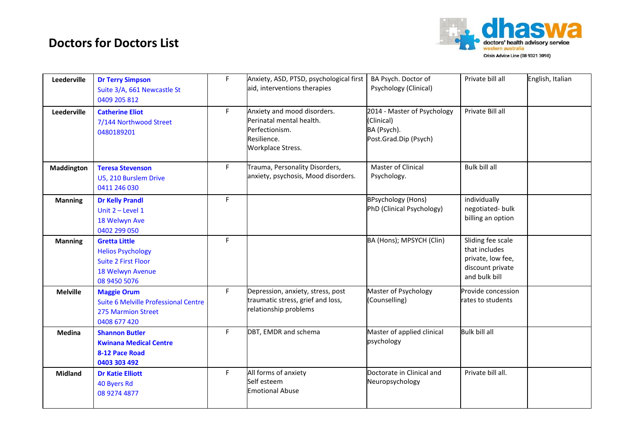

| Leederville     | <b>Dr Terry Simpson</b><br>Suite 3/A, 661 Newcastle St<br>0409 205 812                                             | F. | Anxiety, ASD, PTSD, psychological first<br>aid, interventions therapies                                       | BA Psych. Doctor of<br>Psychology (Clinical)                                      | Private bill all                                                                             | English, Italian |
|-----------------|--------------------------------------------------------------------------------------------------------------------|----|---------------------------------------------------------------------------------------------------------------|-----------------------------------------------------------------------------------|----------------------------------------------------------------------------------------------|------------------|
| Leederville     | <b>Catherine Eliot</b><br>7/144 Northwood Street<br>0480189201                                                     | F. | Anxiety and mood disorders.<br>Perinatal mental health.<br>Perfectionism.<br>Resilience.<br>Workplace Stress. | 2014 - Master of Psychology<br>(Clinical)<br>BA (Psych).<br>Post.Grad.Dip (Psych) | Private Bill all                                                                             |                  |
| Maddington      | <b>Teresa Stevenson</b><br>U5, 210 Burslem Drive<br>0411 246 030                                                   | F. | Trauma, Personality Disorders,<br>anxiety, psychosis, Mood disorders.                                         | Master of Clinical<br>Psychology.                                                 | <b>Bulk bill all</b>                                                                         |                  |
| <b>Manning</b>  | <b>Dr Kelly Prandl</b><br>Unit $2$ – Level 1<br>18 Welwyn Ave<br>0402 299 050                                      | F. |                                                                                                               | <b>BPsychology (Hons)</b><br>PhD (Clinical Psychology)                            | individually<br>negotiated-bulk<br>billing an option                                         |                  |
| <b>Manning</b>  | <b>Gretta Little</b><br><b>Helios Psychology</b><br><b>Suite 2 First Floor</b><br>18 Welwyn Avenue<br>08 9450 5076 | F  |                                                                                                               | BA (Hons); MPSYCH (Clin)                                                          | Sliding fee scale<br>that includes<br>private, low fee,<br>discount private<br>and bulk bill |                  |
| <b>Melville</b> | <b>Maggie Orum</b><br>Suite 6 Melville Professional Centre<br><b>275 Marmion Street</b><br>0408 677 420            | F. | Depression, anxiety, stress, post<br>traumatic stress, grief and loss,<br>relationship problems               | Master of Psychology<br>(Counselling)                                             | Provide concession<br>rates to students                                                      |                  |
| Medina          | <b>Shannon Butler</b><br><b>Kwinana Medical Centre</b><br>8-12 Pace Road<br>0403 303 492                           | F  | DBT, EMDR and schema                                                                                          | Master of applied clinical<br>psychology                                          | <b>Bulk bill all</b>                                                                         |                  |
| <b>Midland</b>  | <b>Dr Katie Elliott</b><br>40 Byers Rd<br>08 9274 4877                                                             | F. | All forms of anxiety<br>Self esteem<br><b>Emotional Abuse</b>                                                 | Doctorate in Clinical and<br>Neuropsychology                                      | Private bill all.                                                                            |                  |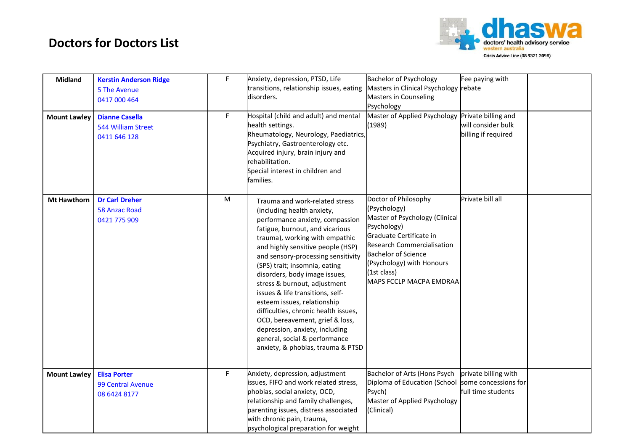

| <b>Midland</b><br><b>Mount Lawley</b> | <b>Kerstin Anderson Ridge</b><br>5 The Avenue<br>0417 000 464<br><b>Dianne Casella</b><br>544 William Street<br>0411 646 128 | F<br>F    | Anxiety, depression, PTSD, Life<br>transitions, relationship issues, eating<br>disorders.<br>Hospital (child and adult) and mental<br>health settings.<br>Rheumatology, Neurology, Paediatrics,<br>Psychiatry, Gastroenterology etc.<br>Acquired injury, brain injury and<br>rehabilitation.<br>Special interest in children and<br>families.                                                                                                                                                                                                                                                           | <b>Bachelor of Psychology</b><br>Masters in Clinical Psychology rebate<br><b>Masters in Counseling</b><br>Psychology<br>Master of Applied Psychology Private billing and<br>(1989)                                                                         | Fee paying with<br>will consider bulk<br>billing if required       |  |
|---------------------------------------|------------------------------------------------------------------------------------------------------------------------------|-----------|---------------------------------------------------------------------------------------------------------------------------------------------------------------------------------------------------------------------------------------------------------------------------------------------------------------------------------------------------------------------------------------------------------------------------------------------------------------------------------------------------------------------------------------------------------------------------------------------------------|------------------------------------------------------------------------------------------------------------------------------------------------------------------------------------------------------------------------------------------------------------|--------------------------------------------------------------------|--|
| <b>Mt Hawthorn</b>                    | <b>Dr Carl Dreher</b><br><b>58 Anzac Road</b><br>0421 775 909                                                                | ${\sf M}$ | Trauma and work-related stress<br>(including health anxiety,<br>performance anxiety, compassion<br>fatigue, burnout, and vicarious<br>trauma), working with empathic<br>and highly sensitive people (HSP)<br>and sensory-processing sensitivity<br>(SPS) trait; insomnia, eating<br>disorders, body image issues,<br>stress & burnout, adjustment<br>issues & life transitions, self-<br>esteem issues, relationship<br>difficulties, chronic health issues,<br>OCD, bereavement, grief & loss,<br>depression, anxiety, including<br>general, social & performance<br>anxiety, & phobias, trauma & PTSD | Doctor of Philosophy<br>(Psychology)<br>Master of Psychology (Clinical<br>Psychology)<br>Graduate Certificate in<br><b>Research Commercialisation</b><br><b>Bachelor of Science</b><br>(Psychology) with Honours<br>(1st class)<br>MAPS FCCLP MACPA EMDRAA | Private bill all                                                   |  |
| <b>Mount Lawley</b>                   | <b>Elisa Porter</b><br>99 Central Avenue<br>08 6424 8177                                                                     | F         | Anxiety, depression, adjustment<br>issues, FIFO and work related stress,<br>phobias, social anxiety, OCD,<br>relationship and family challenges,<br>parenting issues, distress associated<br>with chronic pain, trauma,<br>psychological preparation for weight                                                                                                                                                                                                                                                                                                                                         | Bachelor of Arts (Hons Psych<br>Diploma of Education (School<br>Psych)<br>Master of Applied Psychology<br>(Clinical)                                                                                                                                       | private billing with<br>some concessions for<br>full time students |  |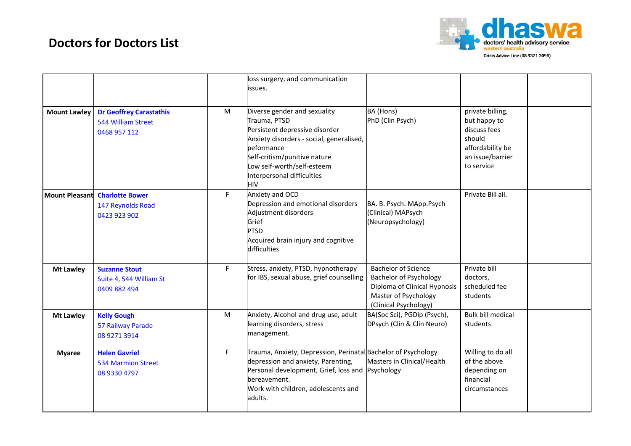

|                       |                                                                      |           | loss surgery, and communication<br>issues.                                                                                                                                                                                                  |                                                                                                                                              |                                                                                                                  |  |
|-----------------------|----------------------------------------------------------------------|-----------|---------------------------------------------------------------------------------------------------------------------------------------------------------------------------------------------------------------------------------------------|----------------------------------------------------------------------------------------------------------------------------------------------|------------------------------------------------------------------------------------------------------------------|--|
| <b>Mount Lawley</b>   | <b>Dr Geoffrey Carastathis</b><br>544 William Street<br>0468 957 112 | M         | Diverse gender and sexuality<br>Trauma, PTSD<br>Persistent depressive disorder<br>Anxiety disorders - social, generalised,<br>peformance<br>Self-critism/punitive nature<br>Low self-worth/self-esteem<br>Interpersonal difficulties<br>HIV | BA (Hons)<br>PhD (Clin Psych)                                                                                                                | private billing,<br>but happy to<br>discuss fees<br>should<br>affordability be<br>an issue/barrier<br>to service |  |
| <b>Mount Pleasant</b> | <b>Charlotte Bower</b><br>147 Reynolds Road<br>0423 923 902          | F.        | Anxiety and OCD<br>Depression and emotional disorders<br>Adjustment disorders<br>Grief<br><b>PTSD</b><br>Acquired brain injury and cognitive<br>difficulties                                                                                | BA. B. Psych. MApp.Psych<br>(Clinical) MAPsych<br>(Neuropsychology)                                                                          | Private Bill all.                                                                                                |  |
| <b>Mt Lawley</b>      | <b>Suzanne Stout</b><br>Suite 4, 544 William St<br>0409 882 494      | F.        | Stress, anxiety, PTSD, hypnotherapy<br>for IBS, sexual abuse, grief counselling                                                                                                                                                             | <b>Bachelor of Science</b><br><b>Bachelor of Psychology</b><br>Diploma of Clinical Hypnosis<br>Master of Psychology<br>(Clinical Psychology) | Private bill<br>doctors,<br>scheduled fee<br>students                                                            |  |
| <b>Mt Lawley</b>      | <b>Kelly Gough</b><br>57 Railway Parade<br>08 9271 3914              | ${\sf M}$ | Anxiety, Alcohol and drug use, adult<br>learning disorders, stress<br>management.                                                                                                                                                           | BA(Soc Sci), PGDip (Psych),<br>DPsych (Clin & Clin Neuro)                                                                                    | <b>Bulk bill medical</b><br>students                                                                             |  |
| <b>Myaree</b>         | <b>Helen Gavriel</b><br><b>534 Marmion Street</b><br>08 9330 4797    | F.        | Trauma, Anxiety, Depression, Perinatal Bachelor of Psychology<br>depression and anxiety, Parenting,<br>Personal development, Grief, loss and Psychology<br>bereavement.<br>Work with children, adolescents and<br>adults.                   | Masters in Clinical/Health                                                                                                                   | Willing to do all<br>of the above<br>depending on<br>financial<br>circumstances                                  |  |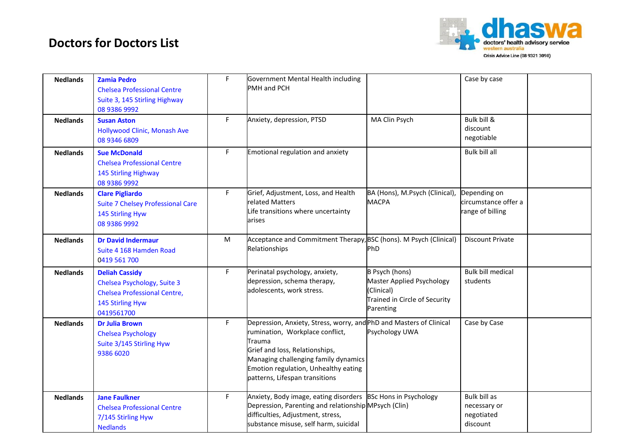

| <b>Nedlands</b> | <b>Zamia Pedro</b><br><b>Chelsea Professional Centre</b><br>Suite 3, 145 Stirling Highway<br>08 9386 9992                     | F. | Government Mental Health including<br>PMH and PCH                                                                                                                                                                                                                    |                                                                                                                       | Case by case                                             |  |
|-----------------|-------------------------------------------------------------------------------------------------------------------------------|----|----------------------------------------------------------------------------------------------------------------------------------------------------------------------------------------------------------------------------------------------------------------------|-----------------------------------------------------------------------------------------------------------------------|----------------------------------------------------------|--|
| <b>Nedlands</b> | <b>Susan Aston</b><br>Hollywood Clinic, Monash Ave<br>08 9346 6809                                                            | F. | Anxiety, depression, PTSD                                                                                                                                                                                                                                            | MA Clin Psych                                                                                                         | Bulk bill &<br>discount<br>negotiable                    |  |
| <b>Nedlands</b> | <b>Sue McDonald</b><br><b>Chelsea Professional Centre</b><br>145 Stirling Highway<br>08 9386 9992                             | F. | Emotional regulation and anxiety                                                                                                                                                                                                                                     |                                                                                                                       | Bulk bill all                                            |  |
| <b>Nedlands</b> | <b>Clare Pigliardo</b><br><b>Suite 7 Chelsey Professional Care</b><br>145 Stirling Hyw<br>08 9386 9992                        | F. | Grief, Adjustment, Loss, and Health<br>related Matters<br>Life transitions where uncertainty<br>arises                                                                                                                                                               | BA (Hons), M.Psych (Clinical),<br><b>MACPA</b>                                                                        | Depending on<br>circumstance offer a<br>range of billing |  |
| <b>Nedlands</b> | <b>Dr David Indermaur</b><br>Suite 4 168 Hamden Road<br>0419 561 700                                                          | M  | Acceptance and Commitment Therapy, BSC (hons). M Psych (Clinical)<br>Relationships                                                                                                                                                                                   | PhD                                                                                                                   | <b>Discount Private</b>                                  |  |
| <b>Nedlands</b> | <b>Deliah Cassidy</b><br>Chelsea Psychology, Suite 3<br><b>Chelsea Professional Centre,</b><br>145 Stirling Hyw<br>0419561700 | F. | Perinatal psychology, anxiety,<br>depression, schema therapy,<br>adolescents, work stress.                                                                                                                                                                           | <b>B Psych (hons)</b><br><b>Master Applied Psychology</b><br>(Clinical)<br>Trained in Circle of Security<br>Parenting | <b>Bulk bill medical</b><br>students                     |  |
| <b>Nedlands</b> | <b>Dr Julia Brown</b><br><b>Chelsea Psychology</b><br>Suite 3/145 Stirling Hyw<br>9386 6020                                   | F  | Depression, Anxiety, Stress, worry, and PhD and Masters of Clinical<br>rumination, Workplace conflict,<br>Trauma<br>Grief and loss, Relationships,<br>Managing challenging family dynamics<br>Emotion regulation, Unhealthy eating<br>patterns, Lifespan transitions | Psychology UWA                                                                                                        | Case by Case                                             |  |
| <b>Nedlands</b> | <b>Jane Faulkner</b><br><b>Chelsea Professional Centre</b><br>7/145 Stirling Hyw<br><b>Nedlands</b>                           | F. | Anxiety, Body image, eating disorders BSc Hons in Psychology<br>Depression, Parenting and relationship MPsych (Clin)<br>difficulties, Adjustment, stress,<br>substance misuse, self harm, suicidal                                                                   |                                                                                                                       | Bulk bill as<br>necessary or<br>negotiated<br>discount   |  |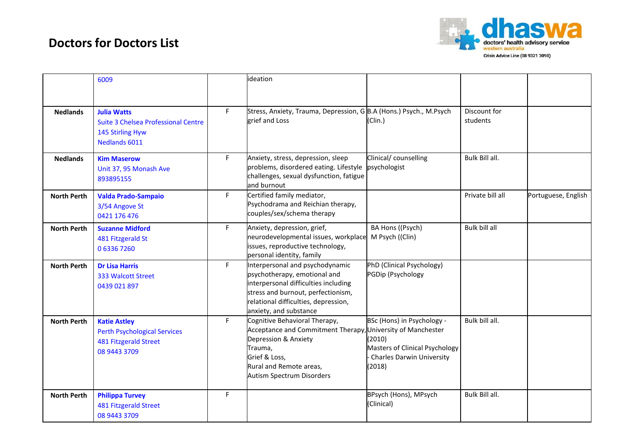

|                    | 6009                                                                                                       |    | ideation                                                                                                                                                                                                        |                                                                                                                      |                          |                     |
|--------------------|------------------------------------------------------------------------------------------------------------|----|-----------------------------------------------------------------------------------------------------------------------------------------------------------------------------------------------------------------|----------------------------------------------------------------------------------------------------------------------|--------------------------|---------------------|
| <b>Nedlands</b>    | <b>Julia Watts</b><br><b>Suite 3 Chelsea Professional Centre</b><br>145 Stirling Hyw<br>Nedlands 6011      | F. | Stress, Anxiety, Trauma, Depression, G B.A (Hons.) Psych., M.Psych<br>grief and Loss                                                                                                                            | (Clin.)                                                                                                              | Discount for<br>students |                     |
| <b>Nedlands</b>    | <b>Kim Maserow</b><br>Unit 37, 95 Monash Ave<br>893895155                                                  | F. | Anxiety, stress, depression, sleep<br>problems, disordered eating. Lifestyle<br>challenges, sexual dysfunction, fatigue<br>and burnout                                                                          | Clinical/ counselling<br>psychologist                                                                                | Bulk Bill all.           |                     |
| <b>North Perth</b> | <b>Valda Prado-Sampaio</b><br>3/54 Angove St<br>0421 176 476                                               | F  | Certified family mediator,<br>Psychodrama and Reichian therapy,<br>couples/sex/schema therapy                                                                                                                   |                                                                                                                      | Private bill all         | Portuguese, English |
| <b>North Perth</b> | <b>Suzanne Midford</b><br>481 Fitzgerald St<br>063367260                                                   | F. | Anxiety, depression, grief,<br>neurodevelopmental issues, workplace<br>issues, reproductive technology,<br>personal identity, family                                                                            | BA Hons ((Psych)<br>M Psych ((Clin)                                                                                  | Bulk bill all            |                     |
| <b>North Perth</b> | <b>Dr Lisa Harris</b><br>333 Walcott Street<br>0439 021 897                                                | F. | Interpersonal and psychodynamic<br>psychotherapy, emotional and<br>interpersonal difficulties including<br>stress and burnout, perfectionism,<br>relational difficulties, depression,<br>anxiety, and substance | PhD (Clinical Psychology)<br><b>PGDip (Psychology</b>                                                                |                          |                     |
| <b>North Perth</b> | <b>Katie Astley</b><br><b>Perth Psychological Services</b><br><b>481 Fitzgerald Street</b><br>08 9443 3709 | F  | Cognitive Behavioral Therapy,<br>Acceptance and Commitment Therapy, University of Manchester<br>Depression & Anxiety<br>Trauma,<br>Grief & Loss,<br>Rural and Remote areas,<br>Autism Spectrum Disorders        | BSc (Hons) in Psychology -<br>(2010)<br>Masters of Clinical Psychology<br><b>Charles Darwin University</b><br>(2018) | Bulk bill all.           |                     |
| <b>North Perth</b> | <b>Philippa Turvey</b><br><b>481 Fitzgerald Street</b><br>08 9443 3709                                     | F. |                                                                                                                                                                                                                 | BPsych (Hons), MPsych<br>(Clinical)                                                                                  | Bulk Bill all.           |                     |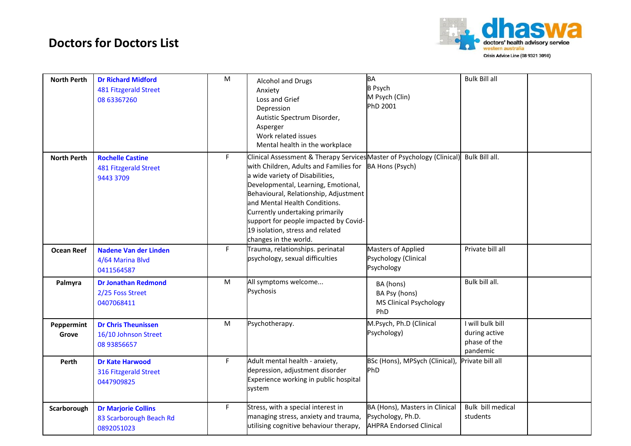

| <b>North Perth</b>  | <b>Dr Richard Midford</b><br><b>481 Fitzgerald Street</b><br>08 63367260 | M  | <b>Alcohol and Drugs</b><br>Anxiety<br>Loss and Grief<br>Depression<br>Autistic Spectrum Disorder,<br>Asperger<br>Work related issues<br>Mental health in the workplace                                                                                                                                                                                                                                                       | <b>BA</b><br><b>B</b> Psych<br>M Psych (Clin)<br>PhD 2001                             | <b>Bulk Bill all</b>                                          |  |
|---------------------|--------------------------------------------------------------------------|----|-------------------------------------------------------------------------------------------------------------------------------------------------------------------------------------------------------------------------------------------------------------------------------------------------------------------------------------------------------------------------------------------------------------------------------|---------------------------------------------------------------------------------------|---------------------------------------------------------------|--|
| <b>North Perth</b>  | <b>Rochelle Castine</b><br>481 Fitzgerald Street<br>9443 3709            | F. | Clinical Assessment & Therapy Services Master of Psychology (Clinical)<br>with Children, Adults and Families for BA Hons (Psych)<br>a wide variety of Disabilities,<br>Developmental, Learning, Emotional,<br>Behavioural, Relationship, Adjustment<br>and Mental Health Conditions.<br>Currently undertaking primarily<br>support for people impacted by Covid-<br>19 isolation, stress and related<br>changes in the world. |                                                                                       | Bulk Bill all.                                                |  |
| <b>Ocean Reef</b>   | <b>Nadene Van der Linden</b><br>4/64 Marina Blvd<br>0411564587           | F. | Trauma, relationships. perinatal<br>psychology, sexual difficulties                                                                                                                                                                                                                                                                                                                                                           | <b>Masters of Applied</b><br>Psychology (Clinical<br>Psychology                       | Private bill all                                              |  |
| Palmyra             | <b>Dr Jonathan Redmond</b><br>2/25 Foss Street<br>0407068411             | M  | All symptoms welcome<br>Psychosis                                                                                                                                                                                                                                                                                                                                                                                             | BA (hons)<br>BA Psy (hons)<br>MS Clinical Psychology<br>PhD                           | Bulk bill all.                                                |  |
| Peppermint<br>Grove | <b>Dr Chris Theunissen</b><br>16/10 Johnson Street<br>08 93856657        | M  | Psychotherapy.                                                                                                                                                                                                                                                                                                                                                                                                                | M.Psych, Ph.D (Clinical<br>Psychology)                                                | I will bulk bill<br>during active<br>phase of the<br>pandemic |  |
| Perth               | <b>Dr Kate Harwood</b><br>316 Fitzgerald Street<br>0447909825            | F  | Adult mental health - anxiety,<br>depression, adjustment disorder<br>Experience working in public hospital<br>system                                                                                                                                                                                                                                                                                                          | BSc (Hons), MPSych (Clinical), Private bill all<br>PhD                                |                                                               |  |
| Scarborough         | <b>Dr Marjorie Collins</b><br>83 Scarborough Beach Rd<br>0892051023      | F. | Stress, with a special interest in<br>managing stress, anxiety and trauma,<br>utilising cognitive behaviour therapy,                                                                                                                                                                                                                                                                                                          | BA (Hons), Masters in Clinical<br>Psychology, Ph.D.<br><b>AHPRA Endorsed Clinical</b> | Bulk bill medical<br>students                                 |  |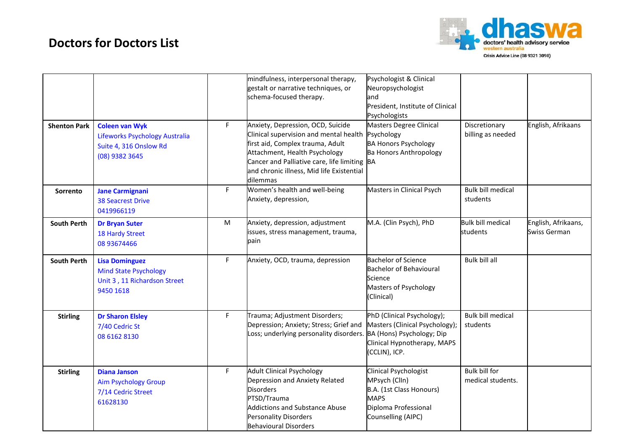

|                     |                                                                                                     |    | mindfulness, interpersonal therapy,<br>gestalt or narrative techniques, or<br>schema-focused therapy.                                                                                                                                                     | Psychologist & Clinical<br>Neuropsychologist<br>and<br>President, Institute of Clinical<br>Psychologists                        |                                      |                                     |
|---------------------|-----------------------------------------------------------------------------------------------------|----|-----------------------------------------------------------------------------------------------------------------------------------------------------------------------------------------------------------------------------------------------------------|---------------------------------------------------------------------------------------------------------------------------------|--------------------------------------|-------------------------------------|
| <b>Shenton Park</b> | <b>Coleen van Wyk</b><br>Lifeworks Psychology Australia<br>Suite 4, 316 Onslow Rd<br>(08) 9382 3645 | F  | Anxiety, Depression, OCD, Suicide<br>Clinical supervision and mental health<br>first aid, Complex trauma, Adult<br>Attachment, Health Psychology<br>Cancer and Palliative care, life limiting BA<br>and chronic illness, Mid life Existential<br>dilemmas | <b>Masters Degree Clinical</b><br>Psychology<br><b>BA Honors Psychology</b><br><b>Ba Honors Anthropology</b>                    | Discretionary<br>billing as needed   | English, Afrikaans                  |
| Sorrento            | <b>Jane Carmignani</b><br><b>38 Seacrest Drive</b><br>0419966119                                    | F. | Women's health and well-being<br>Anxiety, depression,                                                                                                                                                                                                     | Masters in Clinical Psych                                                                                                       | <b>Bulk bill medical</b><br>students |                                     |
| <b>South Perth</b>  | <b>Dr Bryan Suter</b><br><b>18 Hardy Street</b><br>08 93674466                                      | M  | Anxiety, depression, adjustment<br>issues, stress management, trauma,<br>pain                                                                                                                                                                             | M.A. (Clin Psych), PhD                                                                                                          | <b>Bulk bill medical</b><br>students | English, Afrikaans,<br>Swiss German |
| <b>South Perth</b>  | <b>Lisa Dominguez</b><br><b>Mind State Psychology</b><br>Unit 3, 11 Richardson Street<br>9450 1618  | F  | Anxiety, OCD, trauma, depression                                                                                                                                                                                                                          | <b>Bachelor of Science</b><br><b>Bachelor of Behavioural</b><br>Science<br>Masters of Psychology<br>(Clinical)                  | Bulk bill all                        |                                     |
| <b>Stirling</b>     | <b>Dr Sharon Elsley</b><br>7/40 Cedric St<br>08 6162 8130                                           | F  | Trauma; Adjustment Disorders;<br>Depression; Anxiety; Stress; Grief and<br>Loss; underlying personality disorders. BA (Hons) Psychology; Dip                                                                                                              | PhD (Clinical Psychology);<br>Masters (Clinical Psychology);<br>Clinical Hypnotherapy, MAPS<br>(CCLIN), ICP.                    | <b>Bulk bill medical</b><br>students |                                     |
| <b>Stirling</b>     | <b>Diana Janson</b><br><b>Aim Psychology Group</b><br>7/14 Cedric Street<br>61628130                | F  | <b>Adult Clinical Psychology</b><br>Depression and Anxiety Related<br><b>Disorders</b><br>PTSD/Trauma<br><b>Addictions and Substance Abuse</b><br>Personality Disorders<br><b>Behavioural Disorders</b>                                                   | Clinical Psychologist<br>MPsych (ClIn)<br>B.A. (1st Class Honours)<br><b>MAPS</b><br>Diploma Professional<br>Counselling (AIPC) | Bulk bill for<br>medical students.   |                                     |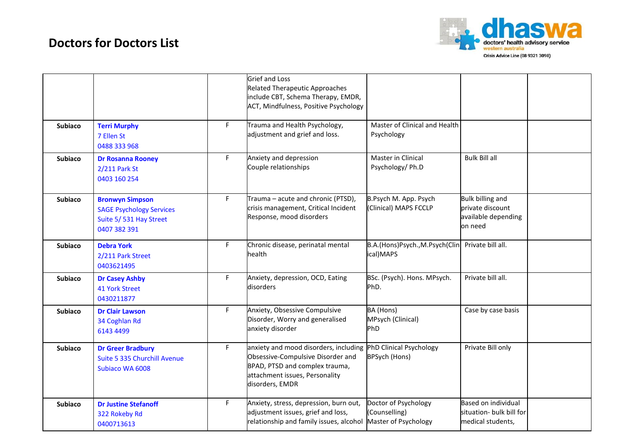

|                |                                                                                                     |    | <b>Grief and Loss</b><br>Related Therapeutic Approaches<br>include CBT, Schema Therapy, EMDR,<br>ACT, Mindfulness, Positive Psychology                                                    |                                                               |                                                                               |  |
|----------------|-----------------------------------------------------------------------------------------------------|----|-------------------------------------------------------------------------------------------------------------------------------------------------------------------------------------------|---------------------------------------------------------------|-------------------------------------------------------------------------------|--|
| <b>Subiaco</b> | <b>Terri Murphy</b><br>7 Ellen St<br>0488 333 968                                                   | F. | Trauma and Health Psychology,<br>adjustment and grief and loss.                                                                                                                           | Master of Clinical and Health<br>Psychology                   |                                                                               |  |
| <b>Subiaco</b> | <b>Dr Rosanna Rooney</b><br>2/211 Park St<br>0403 160 254                                           | F. | Anxiety and depression<br>Couple relationships                                                                                                                                            | Master in Clinical<br>Psychology/ Ph.D                        | <b>Bulk Bill all</b>                                                          |  |
| <b>Subiaco</b> | <b>Bronwyn Simpson</b><br><b>SAGE Psychology Services</b><br>Suite 5/531 Hay Street<br>0407 382 391 | F. | Trauma - acute and chronic (PTSD),<br>crisis management, Critical Incident<br>Response, mood disorders                                                                                    | B.Psych M. App. Psych<br>(Clinical) MAPS FCCLP                | <b>Bulk billing and</b><br>private discount<br>available depending<br>on need |  |
| <b>Subiaco</b> | <b>Debra York</b><br>2/211 Park Street<br>0403621495                                                | F. | Chronic disease, perinatal mental<br>health                                                                                                                                               | B.A.(Hons)Psych.,M.Psych(Clin<br>ical)MAPS                    | Private bill all.                                                             |  |
| <b>Subiaco</b> | <b>Dr Casey Ashby</b><br><b>41 York Street</b><br>0430211877                                        | F  | Anxiety, depression, OCD, Eating<br>disorders                                                                                                                                             | BSc. (Psych). Hons. MPsych.<br>PhD.                           | Private bill all.                                                             |  |
| <b>Subiaco</b> | <b>Dr Clair Lawson</b><br>34 Coghlan Rd<br>6143 4499                                                | F. | Anxiety, Obsessive Compulsive<br>Disorder, Worry and generalised<br>anxiety disorder                                                                                                      | BA (Hons)<br>MPsych (Clinical)<br>PhD                         | Case by case basis                                                            |  |
| <b>Subiaco</b> | <b>Dr Greer Bradbury</b><br>Suite 5 335 Churchill Avenue<br>Subiaco WA 6008                         | F. | anxiety and mood disorders, including PhD Clinical Psychology<br>Obsessive-Compulsive Disorder and<br>BPAD, PTSD and complex trauma,<br>attachment issues, Personality<br>disorders, EMDR | <b>BPSych (Hons)</b>                                          | Private Bill only                                                             |  |
| <b>Subiaco</b> | <b>Dr Justine Stefanoff</b><br>322 Rokeby Rd<br>0400713613                                          | F. | Anxiety, stress, depression, burn out,<br>adjustment issues, grief and loss,<br>relationship and family issues, alcohol                                                                   | Doctor of Psychology<br>(Counselling)<br>Master of Psychology | Based on individual<br>situation- bulk bill for<br>medical students,          |  |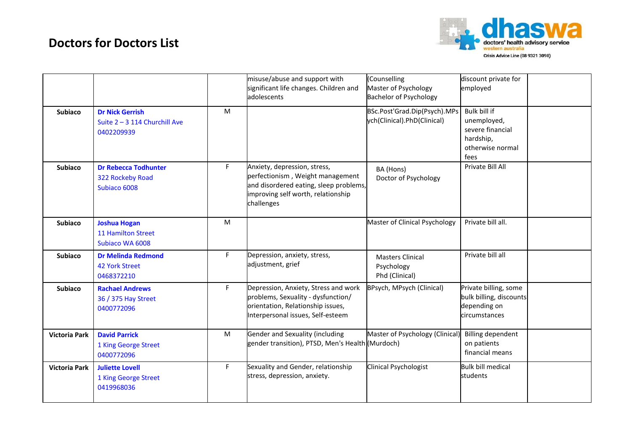

|                      |                                                                       |    | misuse/abuse and support with<br>significant life changes. Children and<br>adolescents                                                                         | (Counselling<br>Master of Psychology<br><b>Bachelor of Psychology</b> | discount private for<br>employed                                                         |  |
|----------------------|-----------------------------------------------------------------------|----|----------------------------------------------------------------------------------------------------------------------------------------------------------------|-----------------------------------------------------------------------|------------------------------------------------------------------------------------------|--|
| <b>Subiaco</b>       | <b>Dr Nick Gerrish</b><br>Suite 2 - 3 114 Churchill Ave<br>0402209939 | M  |                                                                                                                                                                | BSc.Post'Grad.Dip(Psych).MPs<br>ych(Clinical).PhD(Clinical)           | Bulk bill if<br>unemployed,<br>severe financial<br>hardship,<br>otherwise normal<br>fees |  |
| <b>Subiaco</b>       | <b>Dr Rebecca Todhunter</b><br>322 Rockeby Road<br>Subiaco 6008       | F. | Anxiety, depression, stress,<br>perfectionism, Weight management<br>and disordered eating, sleep problems,<br>improving self worth, relationship<br>challenges | BA (Hons)<br>Doctor of Psychology                                     | Private Bill All                                                                         |  |
| <b>Subiaco</b>       | <b>Joshua Hogan</b><br>11 Hamilton Street<br>Subjaco WA 6008          | M  |                                                                                                                                                                | Master of Clinical Psychology                                         | Private bill all.                                                                        |  |
| <b>Subiaco</b>       | <b>Dr Melinda Redmond</b><br>42 York Street<br>0468372210             | F. | Depression, anxiety, stress,<br>adjustment, grief                                                                                                              | <b>Masters Clinical</b><br>Psychology<br>Phd (Clinical)               | Private bill all                                                                         |  |
| <b>Subiaco</b>       | <b>Rachael Andrews</b><br>36 / 375 Hay Street<br>0400772096           | F. | Depression, Anxiety, Stress and work<br>problems, Sexuality - dysfunction/<br>orientation, Relationship issues,<br>Interpersonal issues, Self-esteem           | BPsych, MPsych (Clinical)                                             | Private billing, some<br>bulk billing, discounts<br>depending on<br>circumstances        |  |
| <b>Victoria Park</b> | <b>David Parrick</b><br>1 King George Street<br>0400772096            | M  | Gender and Sexuality (including<br>gender transition), PTSD, Men's Health (Murdoch)                                                                            | Master of Psychology (Clinical)                                       | <b>Billing dependent</b><br>on patients<br>financial means                               |  |
| <b>Victoria Park</b> | <b>Juliette Lovell</b><br>1 King George Street<br>0419968036          | F  | Sexuality and Gender, relationship<br>stress, depression, anxiety.                                                                                             | Clinical Psychologist                                                 | <b>Bulk bill medical</b><br>students                                                     |  |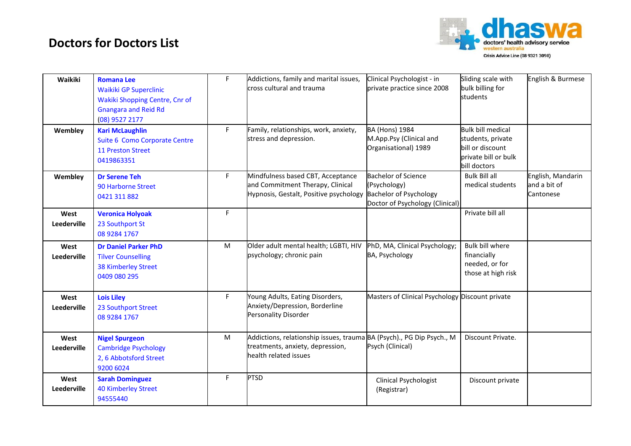

| Waikiki             | <b>Romana Lee</b><br><b>Waikiki GP Superclinic</b><br>Wakiki Shopping Centre, Cnr of<br><b>Gnangara and Reid Rd</b><br>(08) 9527 2177 | F  | Addictions, family and marital issues,<br>cross cultural and trauma                                                                | Clinical Psychologist - in<br>private practice since 2008                                                      | Sliding scale with<br>bulk billing for<br>students                                                        | English & Burmese                              |
|---------------------|---------------------------------------------------------------------------------------------------------------------------------------|----|------------------------------------------------------------------------------------------------------------------------------------|----------------------------------------------------------------------------------------------------------------|-----------------------------------------------------------------------------------------------------------|------------------------------------------------|
| Wembley             | <b>Kari McLaughlin</b><br>Suite 6 Como Corporate Centre<br>11 Preston Street<br>0419863351                                            | F. | Family, relationships, work, anxiety,<br>stress and depression.                                                                    | <b>BA (Hons) 1984</b><br>M.App.Psy (Clinical and<br>Organisational) 1989                                       | <b>Bulk bill medical</b><br>students, private<br>bill or discount<br>private bill or bulk<br>bill doctors |                                                |
| Wembley             | <b>Dr Serene Teh</b><br>90 Harborne Street<br>0421 311 882                                                                            | F  | Mindfulness based CBT, Acceptance<br>and Commitment Therapy, Clinical<br>Hypnosis, Gestalt, Positive psychology                    | <b>Bachelor of Science</b><br>(Psychology)<br><b>Bachelor of Psychology</b><br>Doctor of Psychology (Clinical) | <b>Bulk Bill all</b><br>medical students                                                                  | English, Mandarin<br>and a bit of<br>Cantonese |
| West<br>Leederville | <b>Veronica Holyoak</b><br>23 Southport St<br>08 9284 1767                                                                            | F  |                                                                                                                                    |                                                                                                                | Private bill all                                                                                          |                                                |
| West<br>Leederville | <b>Dr Daniel Parker PhD</b><br><b>Tilver Counselling</b><br><b>38 Kimberley Street</b><br>0409 080 295                                | M  | Older adult mental health; LGBTI, HIV<br>psychology; chronic pain                                                                  | PhD, MA, Clinical Psychology;<br>BA, Psychology                                                                | <b>Bulk bill where</b><br>financially<br>needed, or for<br>those at high risk                             |                                                |
| West<br>Leederville | <b>Lois Liley</b><br>23 Southport Street<br>08 9284 1767                                                                              | F. | Young Adults, Eating Disorders,<br>Anxiety/Depression, Borderline<br>Personality Disorder                                          | Masters of Clinical Psychology Discount private                                                                |                                                                                                           |                                                |
| West<br>Leederville | <b>Nigel Spurgeon</b><br><b>Cambridge Psychology</b><br>2, 6 Abbotsford Street<br>9200 6024                                           | M  | Addictions, relationship issues, trauma BA (Psych)., PG Dip Psych., M<br>treatments, anxiety, depression,<br>health related issues | Psych (Clinical)                                                                                               | Discount Private.                                                                                         |                                                |
| West<br>Leederville | <b>Sarah Dominguez</b><br><b>40 Kimberley Street</b><br>94555440                                                                      | F  | <b>PTSD</b>                                                                                                                        | Clinical Psychologist<br>(Registrar)                                                                           | Discount private                                                                                          |                                                |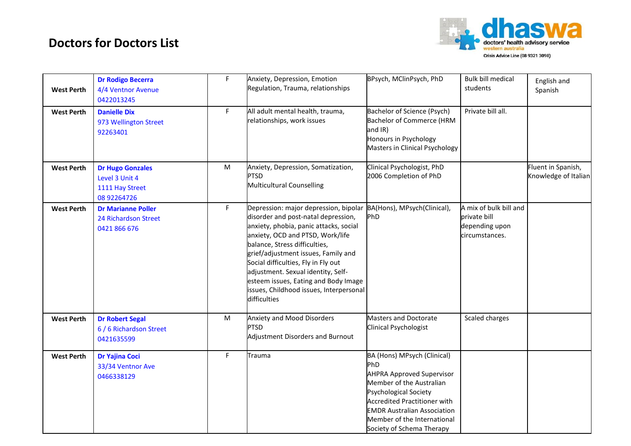

| <b>West Perth</b> | <b>Dr Rodigo Becerra</b><br>4/4 Ventnor Avenue<br>0422013245                | $\mathsf F$ | Anxiety, Depression, Emotion<br>Regulation, Trauma, relationships                                                                                                                                                                                                                                                                                                                                                                              | BPsych, MClinPsych, PhD                                                                                                                                                                                                                                                     | <b>Bulk bill medical</b><br>students                                       | English and<br>Spanish                     |
|-------------------|-----------------------------------------------------------------------------|-------------|------------------------------------------------------------------------------------------------------------------------------------------------------------------------------------------------------------------------------------------------------------------------------------------------------------------------------------------------------------------------------------------------------------------------------------------------|-----------------------------------------------------------------------------------------------------------------------------------------------------------------------------------------------------------------------------------------------------------------------------|----------------------------------------------------------------------------|--------------------------------------------|
| <b>West Perth</b> | <b>Danielle Dix</b><br>973 Wellington Street<br>92263401                    | F           | All adult mental health, trauma,<br>relationships, work issues                                                                                                                                                                                                                                                                                                                                                                                 | Bachelor of Science (Psych)<br><b>Bachelor of Commerce (HRM</b><br>and IR)<br>Honours in Psychology<br>Masters in Clinical Psychology                                                                                                                                       | Private bill all.                                                          |                                            |
| <b>West Perth</b> | <b>Dr Hugo Gonzales</b><br>Level 3 Unit 4<br>1111 Hay Street<br>08 92264726 | M           | Anxiety, Depression, Somatization,<br><b>PTSD</b><br>Multicultural Counselling                                                                                                                                                                                                                                                                                                                                                                 | Clinical Psychologist, PhD<br>2006 Completion of PhD                                                                                                                                                                                                                        |                                                                            | Fluent in Spanish,<br>Knowledge of Italian |
| <b>West Perth</b> | <b>Dr Marianne Poller</b><br>24 Richardson Street<br>0421 866 676           | F.          | Depression: major depression, bipolar BA(Hons), MPsych(Clinical),<br>disorder and post-natal depression,<br>anxiety, phobia, panic attacks, social<br>anxiety, OCD and PTSD, Work/life<br>balance, Stress difficulties,<br>grief/adjustment issues, Family and<br>Social difficulties, Fly in Fly out<br>adjustment. Sexual identity, Self-<br>esteem issues, Eating and Body Image<br>issues, Childhood issues, Interpersonal<br>difficulties | PhD                                                                                                                                                                                                                                                                         | A mix of bulk bill and<br>private bill<br>depending upon<br>circumstances. |                                            |
| <b>West Perth</b> | <b>Dr Robert Segal</b><br>6 / 6 Richardson Street<br>0421635599             | M           | Anxiety and Mood Disorders<br><b>PTSD</b><br>Adjustment Disorders and Burnout                                                                                                                                                                                                                                                                                                                                                                  | <b>Masters and Doctorate</b><br>Clinical Psychologist                                                                                                                                                                                                                       | Scaled charges                                                             |                                            |
| <b>West Perth</b> | <b>Dr Yajina Coci</b><br>33/34 Ventnor Ave<br>0466338129                    | F.          | Trauma                                                                                                                                                                                                                                                                                                                                                                                                                                         | BA (Hons) MPsych (Clinical)<br>PhD<br><b>AHPRA Approved Supervisor</b><br>Member of the Australian<br><b>Psychological Society</b><br><b>Accredited Practitioner with</b><br><b>EMDR Australian Association</b><br>Member of the International<br>Society of Schema Therapy |                                                                            |                                            |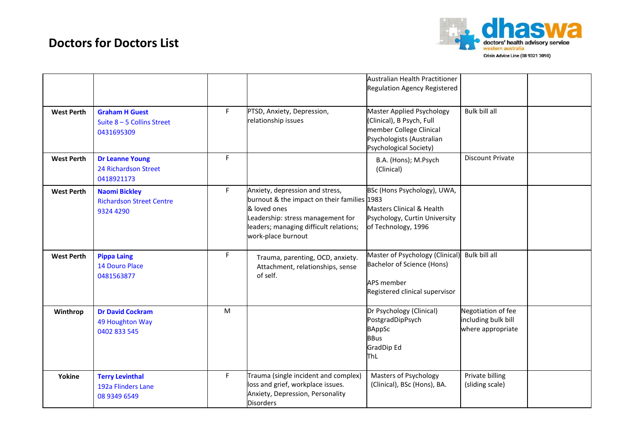

|                   |                                                                      |    |                                                                                                                                                                                                     | Australian Health Practitioner<br><b>Regulation Agency Registered</b>                                                                    |                                                                |  |
|-------------------|----------------------------------------------------------------------|----|-----------------------------------------------------------------------------------------------------------------------------------------------------------------------------------------------------|------------------------------------------------------------------------------------------------------------------------------------------|----------------------------------------------------------------|--|
| <b>West Perth</b> | <b>Graham H Guest</b><br>Suite 8 - 5 Collins Street<br>0431695309    | F. | PTSD, Anxiety, Depression,<br>relationship issues                                                                                                                                                   | Master Applied Psychology<br>(Clinical), B Psych, Full<br>member College Clinical<br>Psychologists (Australian<br>Psychological Society) | <b>Bulk bill all</b>                                           |  |
| <b>West Perth</b> | <b>Dr Leanne Young</b><br>24 Richardson Street<br>0418921173         | F  |                                                                                                                                                                                                     | B.A. (Hons); M.Psych<br>(Clinical)                                                                                                       | <b>Discount Private</b>                                        |  |
| <b>West Perth</b> | <b>Naomi Bickley</b><br><b>Richardson Street Centre</b><br>9324 4290 | F  | Anxiety, depression and stress,<br>burnout & the impact on their families 1983<br>& loved ones<br>Leadership: stress management for<br>leaders; managing difficult relations;<br>work-place burnout | BSc (Hons Psychology), UWA,<br>Masters Clinical & Health<br>Psychology, Curtin University<br>of Technology, 1996                         |                                                                |  |
| <b>West Perth</b> | <b>Pippa Laing</b><br><b>14 Douro Place</b><br>0481563877            | F. | Trauma, parenting, OCD, anxiety.<br>Attachment, relationships, sense<br>of self.                                                                                                                    | Master of Psychology (Clinical)<br>Bachelor of Science (Hons)<br><b>APS member</b><br>Registered clinical supervisor                     | Bulk bill all                                                  |  |
| Winthrop          | <b>Dr David Cockram</b><br>49 Houghton Way<br>0402 833 545           | M  |                                                                                                                                                                                                     | Dr Psychology (Clinical)<br>PostgradDipPsych<br><b>BAppSc</b><br><b>BBus</b><br><b>GradDip Ed</b><br>ThL                                 | Negotiation of fee<br>including bulk bill<br>where appropriate |  |
| Yokine            | <b>Terry Levinthal</b><br>192a Flinders Lane<br>08 9349 6549         | F. | Trauma (single incident and complex)<br>loss and grief, workplace issues.<br>Anxiety, Depression, Personality<br><b>Disorders</b>                                                                   | Masters of Psychology<br>(Clinical), BSc (Hons), BA.                                                                                     | Private billing<br>(sliding scale)                             |  |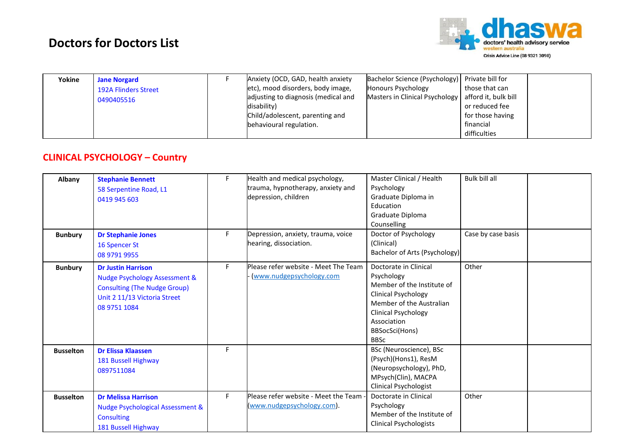

| Yokine | <b>Jane Norgard</b><br><b>192A Flinders Street</b><br>0490405516 |  | Anxiety (OCD, GAD, health anxiety<br>etc), mood disorders, body image,<br>adjusting to diagnosis (medical and<br>disability)<br>Child/adolescent, parenting and<br>behavioural regulation. | Bachelor Science (Psychology) Private bill for<br>Honours Psychology<br>Masters in Clinical Psychology | those that can<br>afford it, bulk bill<br>or reduced fee<br>for those having<br>financial<br>difficulties |  |
|--------|------------------------------------------------------------------|--|--------------------------------------------------------------------------------------------------------------------------------------------------------------------------------------------|--------------------------------------------------------------------------------------------------------|-----------------------------------------------------------------------------------------------------------|--|
|--------|------------------------------------------------------------------|--|--------------------------------------------------------------------------------------------------------------------------------------------------------------------------------------------|--------------------------------------------------------------------------------------------------------|-----------------------------------------------------------------------------------------------------------|--|

#### **CLINICAL PSYCHOLOGY – Country**

| Albany           | <b>Stephanie Bennett</b><br>58 Serpentine Road, L1<br>0419 945 603                                                                                           | F  | Health and medical psychology,<br>trauma, hypnotherapy, anxiety and<br>depression, children | Master Clinical / Health<br>Psychology<br>Graduate Diploma in<br>Education<br>Graduate Diploma<br>Counselling                                                                                      | <b>Bulk bill all</b> |  |
|------------------|--------------------------------------------------------------------------------------------------------------------------------------------------------------|----|---------------------------------------------------------------------------------------------|----------------------------------------------------------------------------------------------------------------------------------------------------------------------------------------------------|----------------------|--|
| <b>Bunbury</b>   | <b>Dr Stephanie Jones</b><br>16 Spencer St<br>08 9791 9955                                                                                                   | F. | Depression, anxiety, trauma, voice<br>hearing, dissociation.                                | Doctor of Psychology<br>(Clinical)<br>Bachelor of Arts (Psychology)                                                                                                                                | Case by case basis   |  |
| <b>Bunbury</b>   | <b>Dr Justin Harrison</b><br><b>Nudge Psychology Assessment &amp;</b><br><b>Consulting (The Nudge Group)</b><br>Unit 2 11/13 Victoria Street<br>08 9751 1084 | F  | Please refer website - Meet The Team<br>(www.nudgepsychology.com                            | Doctorate in Clinical<br>Psychology<br>Member of the Institute of<br><b>Clinical Psychology</b><br>Member of the Australian<br>Clinical Psychology<br>Association<br>BBSocSci(Hons)<br><b>BBSc</b> | Other                |  |
| <b>Busselton</b> | <b>Dr Elissa Klaassen</b><br>181 Bussell Highway<br>0897511084                                                                                               | F  |                                                                                             | BSc (Neuroscience), BSc<br>(Psych)(Hons1), ResM<br>(Neuropsychology), PhD,<br>MPsych(Clin), MACPA<br><b>Clinical Psychologist</b>                                                                  |                      |  |
| <b>Busselton</b> | <b>Dr Melissa Harrison</b><br>Nudge Psychological Assessment &<br><b>Consulting</b><br>181 Bussell Highway                                                   | F  | Please refer website - Meet the Team<br>(www.nudgepsychology.com).                          | Doctorate in Clinical<br>Psychology<br>Member of the Institute of<br><b>Clinical Psychologists</b>                                                                                                 | Other                |  |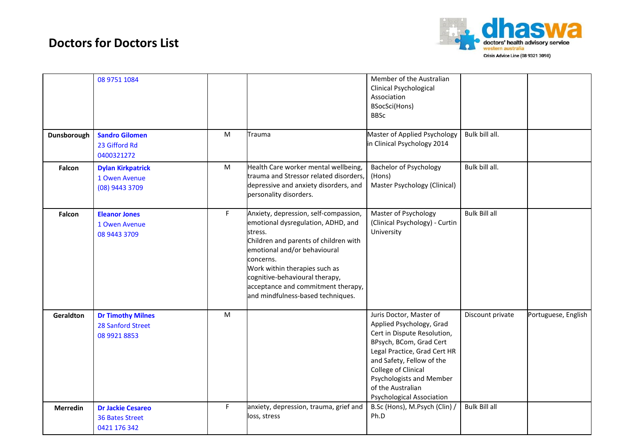

|                 | 08 9751 1084                                                       |           |                                                                                                                                                                                                                                                                                                                            | Member of the Australian<br>Clinical Psychological<br>Association<br>BSocSci(Hons)<br><b>BBSc</b>                                                                                                                                                                                      |                      |                     |
|-----------------|--------------------------------------------------------------------|-----------|----------------------------------------------------------------------------------------------------------------------------------------------------------------------------------------------------------------------------------------------------------------------------------------------------------------------------|----------------------------------------------------------------------------------------------------------------------------------------------------------------------------------------------------------------------------------------------------------------------------------------|----------------------|---------------------|
| Dunsborough     | <b>Sandro Gilomen</b><br>23 Gifford Rd<br>0400321272               | M         | Trauma                                                                                                                                                                                                                                                                                                                     | Master of Applied Psychology<br>in Clinical Psychology 2014                                                                                                                                                                                                                            | Bulk bill all.       |                     |
| Falcon          | <b>Dylan Kirkpatrick</b><br>1 Owen Avenue<br>(08) 9443 3709        | ${\sf M}$ | Health Care worker mental wellbeing,<br>trauma and Stressor related disorders,<br>depressive and anxiety disorders, and<br>personality disorders.                                                                                                                                                                          | <b>Bachelor of Psychology</b><br>(Hons)<br>Master Psychology (Clinical)                                                                                                                                                                                                                | Bulk bill all.       |                     |
| Falcon          | <b>Eleanor Jones</b><br>1 Owen Avenue<br>08 9443 3709              | F         | Anxiety, depression, self-compassion,<br>emotional dysregulation, ADHD, and<br>stress.<br>Children and parents of children with<br>emotional and/or behavioural<br>concerns.<br>Work within therapies such as<br>cognitive-behavioural therapy,<br>acceptance and commitment therapy,<br>and mindfulness-based techniques. | Master of Psychology<br>(Clinical Psychology) - Curtin<br>University                                                                                                                                                                                                                   | <b>Bulk Bill all</b> |                     |
| Geraldton       | <b>Dr Timothy Milnes</b><br>28 Sanford Street<br>08 9921 8853      | ${\sf M}$ |                                                                                                                                                                                                                                                                                                                            | Juris Doctor, Master of<br>Applied Psychology, Grad<br>Cert in Dispute Resolution,<br>BPsych, BCom, Grad Cert<br>Legal Practice, Grad Cert HR<br>and Safety, Fellow of the<br>College of Clinical<br>Psychologists and Member<br>of the Australian<br><b>Psychological Association</b> | Discount private     | Portuguese, English |
| <b>Merredin</b> | <b>Dr Jackie Cesareo</b><br><b>36 Bates Street</b><br>0421 176 342 | F         | anxiety, depression, trauma, grief and<br>loss, stress                                                                                                                                                                                                                                                                     | B.Sc (Hons), M.Psych (Clin) /<br>Ph.D                                                                                                                                                                                                                                                  | <b>Bulk Bill all</b> |                     |